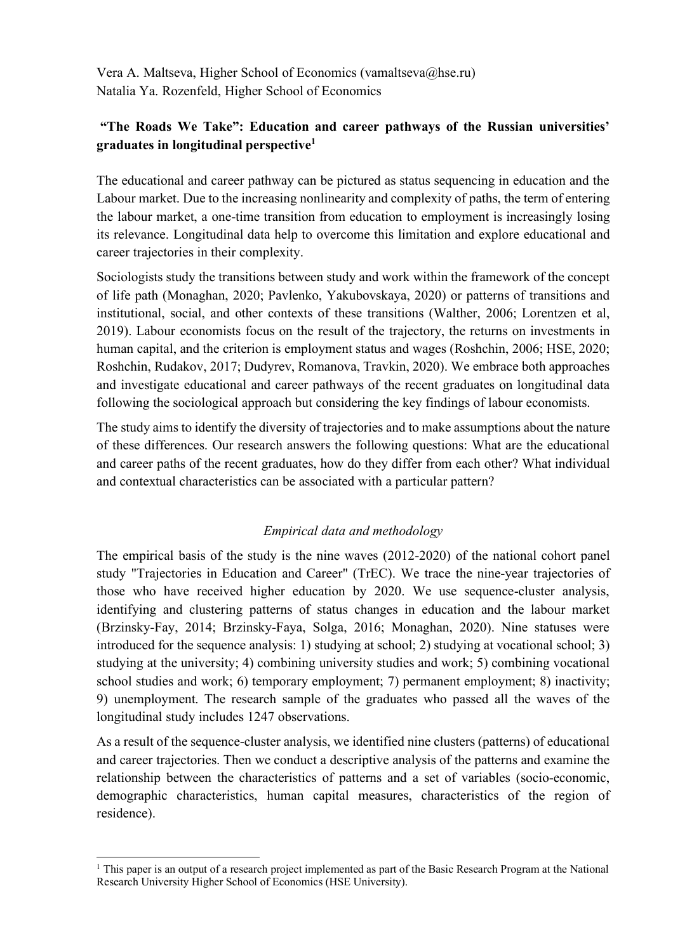Vera A. Maltseva, Higher School of Economics (vamaltseva@hse.ru) Natalia Ya. Rozenfeld, Higher School of Economics

## **"The Roads We Take": Education and career pathways of the Russian universities' graduates in longitudinal perspective1**

The educational and career pathway can be pictured as status sequencing in education and the Labour market. Due to the increasing nonlinearity and complexity of paths, the term of entering the labour market, a one-time transition from education to employment is increasingly losing its relevance. Longitudinal data help to overcome this limitation and explore educational and career trajectories in their complexity.

Sociologists study the transitions between study and work within the framework of the concept of life path (Monaghan, 2020; Pavlenko, Yakubovskaya, 2020) or patterns of transitions and institutional, social, and other contexts of these transitions (Walther, 2006; Lorentzen et al, 2019). Labour economists focus on the result of the trajectory, the returns on investments in human capital, and the criterion is employment status and wages (Roshchin, 2006; HSE, 2020; Roshchin, Rudakov, 2017; Dudyrev, Romanova, Travkin, 2020). We embrace both approaches and investigate educational and career pathways of the recent graduates on longitudinal data following the sociological approach but considering the key findings of labour economists.

The study aims to identify the diversity of trajectories and to make assumptions about the nature of these differences. Our research answers the following questions: What are the educational and career paths of the recent graduates, how do they differ from each other? What individual and contextual characteristics can be associated with a particular pattern?

## *Empirical data and methodology*

The empirical basis of the study is the nine waves (2012-2020) of the national cohort panel study "Trajectories in Education and Career" (TrEC). We trace the nine-year trajectories of those who have received higher education by 2020. We use sequence-cluster analysis, identifying and clustering patterns of status changes in education and the labour market (Brzinsky-Fay, 2014; Brzinsky-Faya, Solga, 2016; Monaghan, 2020). Nine statuses were introduced for the sequence analysis: 1) studying at school; 2) studying at vocational school; 3) studying at the university; 4) combining university studies and work; 5) combining vocational school studies and work; 6) temporary employment; 7) permanent employment; 8) inactivity; 9) unemployment. The research sample of the graduates who passed all the waves of the longitudinal study includes 1247 observations.

As a result of the sequence-cluster analysis, we identified nine clusters (patterns) of educational and career trajectories. Then we conduct a descriptive analysis of the patterns and examine the relationship between the characteristics of patterns and a set of variables (socio-economic, demographic characteristics, human capital measures, characteristics of the region of residence).

 $1$  This paper is an output of a research project implemented as part of the Basic Research Program at the National Research University Higher School of Economics (HSE University).